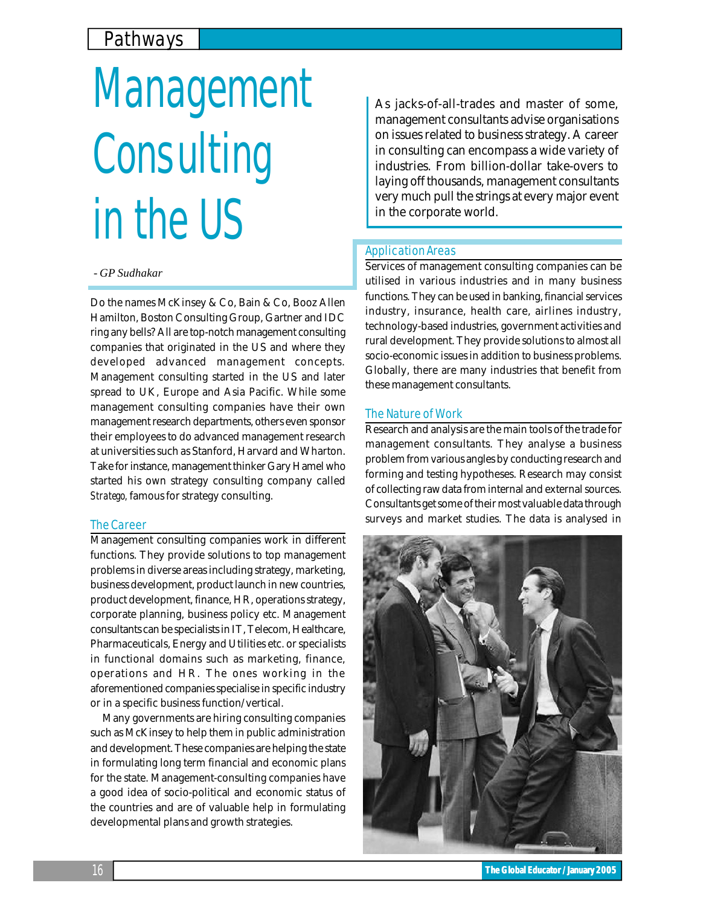# Pathways

# Management **Consulting** in the US

### *- GP Sudhakar*

Do the names McKinsey & Co, Bain & Co, Booz Allen Hamilton, Boston Consulting Group, Gartner and IDC ring any bells? All are top-notch management consulting companies that originated in the US and where they developed advanced management concepts. Management consulting started in the US and later spread to UK, Europe and Asia Pacific. While some management consulting companies have their own management research departments, others even sponsor their employees to do advanced management research at universities such as Stanford, Harvard and Wharton. Take for instance, management thinker Gary Hamel who started his own strategy consulting company called *Stratego,* famous for strategy consulting.

#### The Career

Management consulting companies work in different functions. They provide solutions to top management problems in diverse areas including strategy, marketing, business development, product launch in new countries, product development, finance, HR, operations strategy, corporate planning, business policy etc. Management consultants can be specialists in IT, Telecom, Healthcare, Pharmaceuticals, Energy and Utilities etc. or specialists in functional domains such as marketing, finance, operations and HR. The ones working in the aforementioned companies specialise in specific industry or in a specific business function/vertical.

Many governments are hiring consulting companies such as McKinsey to help them in public administration and development. These companies are helping the state in formulating long term financial and economic plans for the state. Management-consulting companies have a good idea of socio-political and economic status of the countries and are of valuable help in formulating developmental plans and growth strategies.

As jacks-of-all-trades and master of some, management consultants advise organisations on issues related to business strategy. A career in consulting can encompass a wide variety of industries. From billion-dollar take-overs to laying off thousands, management consultants very much pull the strings at every major event in the corporate world.

#### Application Areas

Services of management consulting companies can be utilised in various industries and in many business functions. They can be used in banking, financial services industry, insurance, health care, airlines industry, technology-based industries, government activities and rural development. They provide solutions to almost all socio-economic issues in addition to business problems. Globally, there are many industries that benefit from these management consultants.

#### The Nature of Work

Research and analysis are the main tools of the trade for management consultants. They analyse a business problem from various angles by conducting research and forming and testing hypotheses. Research may consist of collecting raw data from internal and external sources. Consultants get some of their most valuable data through surveys and market studies. The data is analysed in



16 **The Global Educator / January 2005**